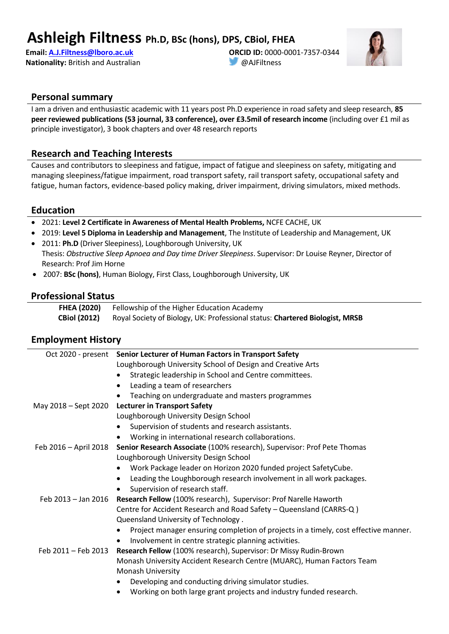## **Ashleigh Filtness Ph.D, BSc (hons), DPS, CBiol, FHEA**

**Email: [A.J.Filtness@lboro.ac.uk](mailto:A.J.Filtness@lboro.ac.uk) Nationality:** British and Australian **ORCID ID:** 0000-0001-7357-0344 @AJFiltness



#### **Personal summary**

I am a driven and enthusiastic academic with 11 years post Ph.D experience in road safety and sleep research, **85 peer reviewed publications (53 journal, 33 conference), over £3.5mil of research income** (including over £1 mil as principle investigator), 3 book chapters and over 48 research reports

#### **Research and Teaching Interests**

Causes and contributors to sleepiness and fatigue, impact of fatigue and sleepiness on safety, mitigating and managing sleepiness/fatigue impairment, road transport safety, rail transport safety, occupational safety and fatigue, human factors, evidence-based policy making, driver impairment, driving simulators, mixed methods.

#### **Education**

- 2021: **Level 2 Certificate in Awareness of Mental Health Problems,** NCFE CACHE, UK
- 2019: **Level 5 Diploma in Leadership and Management**, The Institute of Leadership and Management, UK
- 2011: **Ph.D** (Driver Sleepiness), Loughborough University, UK Thesis: *Obstructive Sleep Apnoea and Day time Driver Sleepiness*. Supervisor: Dr Louise Reyner, Director of Research: Prof Jim Horne
- 2007: **BSc (hons)**, Human Biology, First Class, Loughborough University, UK

#### **Professional Status**

| <b>FHEA (2020)</b>  | Fellowship of the Higher Education Academy                                   |
|---------------------|------------------------------------------------------------------------------|
| <b>CBiol (2012)</b> | Royal Society of Biology, UK: Professional status: Chartered Biologist, MRSB |

#### **Employment History**

|                       | Oct 2020 - present Senior Lecturer of Human Factors in Transport Safety             |
|-----------------------|-------------------------------------------------------------------------------------|
|                       | Loughborough University School of Design and Creative Arts                          |
|                       | Strategic leadership in School and Centre committees.                               |
|                       | Leading a team of researchers<br>$\bullet$                                          |
|                       | Teaching on undergraduate and masters programmes                                    |
| May 2018 - Sept 2020  | <b>Lecturer in Transport Safety</b>                                                 |
|                       | Loughborough University Design School                                               |
|                       | Supervision of students and research assistants.                                    |
|                       | Working in international research collaborations.                                   |
| Feb 2016 - April 2018 | Senior Research Associate (100% research), Supervisor: Prof Pete Thomas             |
|                       | Loughborough University Design School                                               |
|                       | Work Package leader on Horizon 2020 funded project SafetyCube.                      |
|                       | Leading the Loughborough research involvement in all work packages.<br>$\bullet$    |
|                       | Supervision of research staff.                                                      |
| Feb 2013 - Jan 2016   | Research Fellow (100% research), Supervisor: Prof Narelle Haworth                   |
|                       | Centre for Accident Research and Road Safety - Queensland (CARRS-Q)                 |
|                       | Queensland University of Technology.                                                |
|                       | Project manager ensuring completion of projects in a timely, cost effective manner. |
|                       | Involvement in centre strategic planning activities.                                |
| Feb 2011 - Feb 2013   | Research Fellow (100% research), Supervisor: Dr Missy Rudin-Brown                   |
|                       | Monash University Accident Research Centre (MUARC), Human Factors Team              |
|                       | <b>Monash University</b>                                                            |
|                       | Developing and conducting driving simulator studies.<br>$\bullet$                   |
|                       | Working on both large grant projects and industry funded research.                  |
|                       |                                                                                     |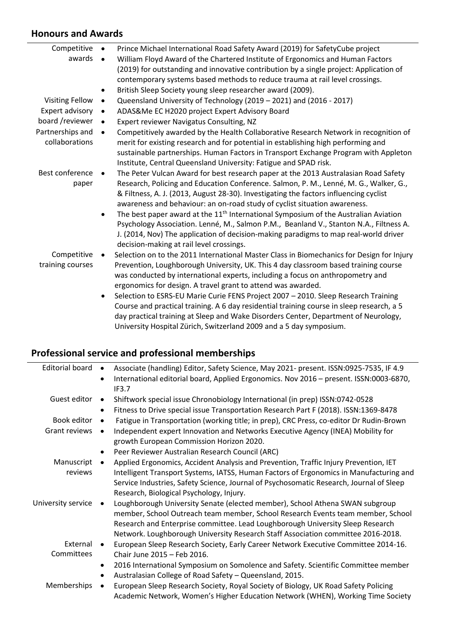#### **Honours and Awards**

| Competitive                        | Prince Michael International Road Safety Award (2019) for Safety Cube project<br>$\bullet$                                                                                                                                                                                                                                       |
|------------------------------------|----------------------------------------------------------------------------------------------------------------------------------------------------------------------------------------------------------------------------------------------------------------------------------------------------------------------------------|
| awards                             | William Floyd Award of the Chartered Institute of Ergonomics and Human Factors<br>$\bullet$                                                                                                                                                                                                                                      |
|                                    | (2019) for outstanding and innovative contribution by a single project: Application of                                                                                                                                                                                                                                           |
|                                    | contemporary systems based methods to reduce trauma at rail level crossings.                                                                                                                                                                                                                                                     |
|                                    | British Sleep Society young sleep researcher award (2009).<br>٠                                                                                                                                                                                                                                                                  |
| <b>Visiting Fellow</b>             | Queensland University of Technology (2019 - 2021) and (2016 - 2017)<br>$\bullet$                                                                                                                                                                                                                                                 |
| Expert advisory                    | ADAS&Me EC H2020 project Expert Advisory Board<br>$\bullet$                                                                                                                                                                                                                                                                      |
| board /reviewer                    | Expert reviewer Navigatus Consulting, NZ<br>$\bullet$                                                                                                                                                                                                                                                                            |
| Partnerships and<br>collaborations | Competitively awarded by the Health Collaborative Research Network in recognition of<br>$\bullet$<br>merit for existing research and for potential in establishing high performing and<br>sustainable partnerships. Human Factors in Transport Exchange Program with Appleton                                                    |
|                                    | Institute, Central Queensland University: Fatigue and SPAD risk.                                                                                                                                                                                                                                                                 |
| Best conference                    | The Peter Vulcan Award for best research paper at the 2013 Australasian Road Safety<br>$\bullet$                                                                                                                                                                                                                                 |
| paper                              | Research, Policing and Education Conference. Salmon, P. M., Lenné, M. G., Walker, G.,<br>& Filtness, A. J. (2013, August 28-30). Investigating the factors influencing cyclist<br>awareness and behaviour: an on-road study of cyclist situation awareness.                                                                      |
|                                    | The best paper award at the $11th$ International Symposium of the Australian Aviation<br>$\bullet$<br>Psychology Association. Lenné, M., Salmon P.M., Beanland V., Stanton N.A., Filtness A.<br>J. (2014, Nov) The application of decision-making paradigms to map real-world driver<br>decision-making at rail level crossings. |
| Competitive                        | Selection on to the 2011 International Master Class in Biomechanics for Design for Injury                                                                                                                                                                                                                                        |
| training courses                   | Prevention, Loughborough University, UK. This 4 day classroom based training course<br>was conducted by international experts, including a focus on anthropometry and<br>ergonomics for design. A travel grant to attend was awarded.                                                                                            |
|                                    | Selection to ESRS-EU Marie Curie FENS Project 2007 - 2010. Sleep Research Training                                                                                                                                                                                                                                               |
|                                    |                                                                                                                                                                                                                                                                                                                                  |

Course and practical training. A 6 day residential training course in sleep research, a 5 day practical training at Sleep and Wake Disorders Center, Department of Neurology, University Hospital Zürich, Switzerland 2009 and a 5 day symposium.

## **Professional service and professional memberships**

| <b>Editorial board</b> | Associate (handling) Editor, Safety Science, May 2021- present. ISSN:0925-7535, IF 4.9<br>$\bullet$<br>International editorial board, Applied Ergonomics. Nov 2016 - present. ISSN:0003-6870,<br>$\bullet$<br>IF3.7                                                                                                                   |
|------------------------|---------------------------------------------------------------------------------------------------------------------------------------------------------------------------------------------------------------------------------------------------------------------------------------------------------------------------------------|
| Guest editor           | Shiftwork special issue Chronobiology International (in prep) ISSN:0742-0528<br>$\bullet$<br>Fitness to Drive special issue Transportation Research Part F (2018). ISSN:1369-8478<br>$\bullet$                                                                                                                                        |
| Book editor            | Fatigue in Transportation (working title; in prep), CRC Press, co-editor Dr Rudin-Brown<br>$\bullet$                                                                                                                                                                                                                                  |
| Grant reviews          | Independent expert Innovation and Networks Executive Agency (INEA) Mobility for<br>growth European Commission Horizon 2020.                                                                                                                                                                                                           |
|                        | Peer Reviewer Australian Research Council (ARC)<br>$\bullet$                                                                                                                                                                                                                                                                          |
| Manuscript<br>reviews  | Applied Ergonomics, Accident Analysis and Prevention, Traffic Injury Prevention, IET<br>Intelligent Transport Systems, IATSS, Human Factors of Ergonomics in Manufacturing and<br>Service Industries, Safety Science, Journal of Psychosomatic Research, Journal of Sleep<br>Research, Biological Psychology, Injury.                 |
| University service     | Loughborough University Senate (elected member), School Athena SWAN subgroup<br>member, School Outreach team member, School Research Events team member, School<br>Research and Enterprise committee. Lead Loughborough University Sleep Research<br>Network. Loughborough University Research Staff Association committee 2016-2018. |
| External               | European Sleep Research Society, Early Career Network Executive Committee 2014-16.                                                                                                                                                                                                                                                    |
| Committees             | Chair June 2015 - Feb 2016.                                                                                                                                                                                                                                                                                                           |
|                        | 2016 International Symposium on Somolence and Safety. Scientific Committee member<br>$\bullet$<br>Australasian College of Road Safety - Queensland, 2015.<br>$\bullet$                                                                                                                                                                |
| Memberships            | European Sleep Research Society, Royal Society of Biology, UK Road Safety Policing<br>Academic Network, Women's Higher Education Network (WHEN), Working Time Society                                                                                                                                                                 |
|                        |                                                                                                                                                                                                                                                                                                                                       |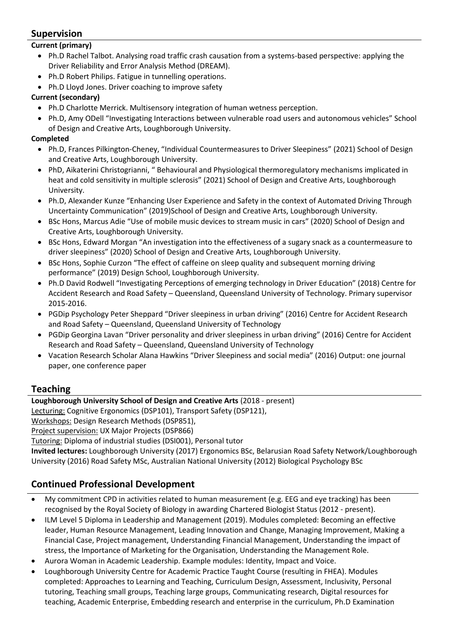### **Supervision**

#### **Current (primary)**

- Ph.D Rachel Talbot. Analysing road traffic crash causation from a systems-based perspective: applying the Driver Reliability and Error Analysis Method (DREAM).
- Ph.D Robert Philips. Fatigue in tunnelling operations.
- Ph.D Lloyd Jones. Driver coaching to improve safety

#### **Current (secondary)**

- Ph.D Charlotte Merrick. Multisensory integration of human wetness perception.
- Ph.D, Amy ODell "Investigating Interactions between vulnerable road users and autonomous vehicles" School of Design and Creative Arts, Loughborough University.

#### **Completed**

- Ph.D, Frances Pilkington-Cheney, "Individual Countermeasures to Driver Sleepiness" (2021) School of Design and Creative Arts, Loughborough University.
- PhD, Aikaterini Christogrianni, " Behavioural and Physiological thermoregulatory mechanisms implicated in heat and cold sensitivity in multiple sclerosis" (2021) School of Design and Creative Arts, Loughborough University.
- Ph.D, Alexander Kunze "Enhancing User Experience and Safety in the context of Automated Driving Through Uncertainty Communication" (2019)School of Design and Creative Arts, Loughborough University.
- BSc Hons, Marcus Adie "Use of mobile music devices to stream music in cars" (2020) School of Design and Creative Arts, Loughborough University.
- BSc Hons, Edward Morgan "An investigation into the effectiveness of a sugary snack as a countermeasure to driver sleepiness" (2020) School of Design and Creative Arts, Loughborough University.
- BSc Hons, Sophie Curzon "The effect of caffeine on sleep quality and subsequent morning driving performance" (2019) Design School, Loughborough University.
- Ph.D David Rodwell "Investigating Perceptions of emerging technology in Driver Education" (2018) Centre for Accident Research and Road Safety – Queensland, Queensland University of Technology. Primary supervisor 2015-2016.
- PGDip Psychology Peter Sheppard "Driver sleepiness in urban driving" (2016) Centre for Accident Research and Road Safety – Queensland, Queensland University of Technology
- PGDip Georgina Lavan "Driver personality and driver sleepiness in urban driving" (2016) Centre for Accident Research and Road Safety – Queensland, Queensland University of Technology
- Vacation Research Scholar Alana Hawkins "Driver Sleepiness and social media" (2016) Output: one journal paper, one conference paper

#### **Teaching**

#### **Loughborough University School of Design and Creative Arts** (2018 - present)

Lecturing: Cognitive Ergonomics (DSP101), Transport Safety (DSP121),

Workshops: Design Research Methods (DSP851),

Project supervision: UX Major Projects (DSP866)

Tutoring: Diploma of industrial studies (DSI001), Personal tutor

**Invited lectures:** Loughborough University (2017) Ergonomics BSc, Belarusian Road Safety Network/Loughborough University (2016) Road Safety MSc, Australian National University (2012) Biological Psychology BSc

## **Continued Professional Development**

- My commitment CPD in activities related to human measurement (e.g. EEG and eye tracking) has been recognised by the Royal Society of Biology in awarding Chartered Biologist Status (2012 - present).
- ILM Level 5 Diploma in Leadership and Management (2019). Modules completed: Becoming an effective leader, Human Resource Management, Leading Innovation and Change, Managing Improvement, Making a Financial Case, Project management, Understanding Financial Management, Understanding the impact of stress, the Importance of Marketing for the Organisation, Understanding the Management Role.
- Aurora Woman in Academic Leadership. Example modules: Identity, Impact and Voice.
- Loughborough University Centre for Academic Practice Taught Course (resulting in FHEA). Modules completed: Approaches to Learning and Teaching, Curriculum Design, Assessment, Inclusivity, Personal tutoring, Teaching small groups, Teaching large groups, Communicating research, Digital resources for teaching, Academic Enterprise, Embedding research and enterprise in the curriculum, Ph.D Examination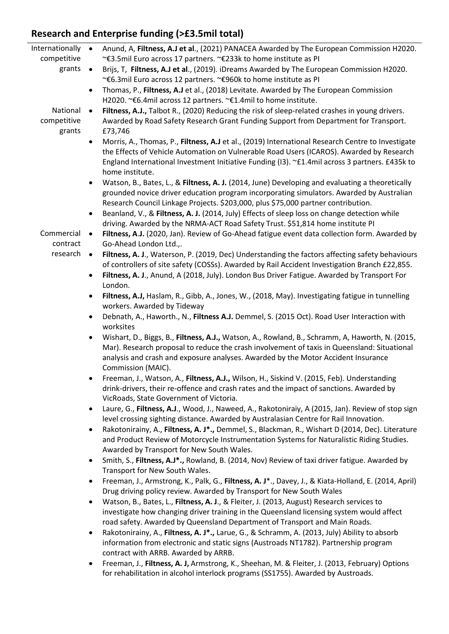# **Research and Enterprise funding (>£3.5mil total)**

| Internationally        | $\bullet$ | Anund, A, Filtness, A.J et al., (2021) PANACEA Awarded by The European Commission H2020.                                                                                                                                                                                                                  |
|------------------------|-----------|-----------------------------------------------------------------------------------------------------------------------------------------------------------------------------------------------------------------------------------------------------------------------------------------------------------|
| competitive            |           | ~€3.5mil Euro across 17 partners. ~€233k to home institute as PI                                                                                                                                                                                                                                          |
| grants                 | $\bullet$ | Brijs, T, Filtness, A.J et al., (2019). iDreams Awarded by The European Commission H2020.<br>~€6.3mil Euro across 12 partners. ~€960k to home institute as PI                                                                                                                                             |
|                        | $\bullet$ | Thomas, P., Filtness, A.J et al., (2018) Levitate. Awarded by The European Commission<br>H2020. ~€6.4mil across 12 partners. ~€1.4mil to home institute.                                                                                                                                                  |
| National               | $\bullet$ | Filtness, A.J., Talbot R., (2020) Reducing the risk of sleep-related crashes in young drivers.                                                                                                                                                                                                            |
| competitive<br>grants  |           | Awarded by Road Safety Research Grant Funding Support from Department for Transport.<br>£73,746                                                                                                                                                                                                           |
|                        | $\bullet$ | Morris, A., Thomas, P., Filtness, A.J et al., (2019) International Research Centre to Investigate                                                                                                                                                                                                         |
|                        |           | the Effects of Vehicle Automation on Vulnerable Road Users (ICAROS). Awarded by Research                                                                                                                                                                                                                  |
|                        |           | England International Investment Initiative Funding (I3). ~£1.4mil across 3 partners. £435k to                                                                                                                                                                                                            |
|                        |           | home institute.                                                                                                                                                                                                                                                                                           |
|                        | $\bullet$ | Watson, B., Bates, L., & Filtness, A. J. (2014, June) Developing and evaluating a theoretically<br>grounded novice driver education program incorporating simulators. Awarded by Australian                                                                                                               |
|                        |           | Research Council Linkage Projects. \$203,000, plus \$75,000 partner contribution.                                                                                                                                                                                                                         |
|                        | $\bullet$ | Beanland, V., & Filtness, A. J. (2014, July) Effects of sleep loss on change detection while<br>driving. Awarded by the NRMA-ACT Road Safety Trust. \$51,814 home institute PI                                                                                                                            |
| Commercial<br>contract | $\bullet$ | Filtness, A.J. (2020, Jan). Review of Go-Ahead fatigue event data collection form. Awarded by<br>Go-Ahead London Ltd.,.                                                                                                                                                                                   |
| research               | $\bullet$ | Filtness, A. J., Waterson, P. (2019, Dec) Understanding the factors affecting safety behaviours                                                                                                                                                                                                           |
|                        |           | of controllers of site safety (COSSs). Awarded by Rail Accident Investigation Branch £22,855.                                                                                                                                                                                                             |
|                        | $\bullet$ | Filtness, A. J., Anund, A (2018, July). London Bus Driver Fatigue. Awarded by Transport For<br>London.                                                                                                                                                                                                    |
|                        | $\bullet$ | Filtness, A.J, Haslam, R., Gibb, A., Jones, W., (2018, May). Investigating fatigue in tunnelling                                                                                                                                                                                                          |
|                        |           | workers. Awarded by Tideway                                                                                                                                                                                                                                                                               |
|                        | $\bullet$ | Debnath, A., Haworth., N., Filtness A.J. Demmel, S. (2015 Oct). Road User Interaction with<br>worksites                                                                                                                                                                                                   |
|                        | $\bullet$ | Wishart, D., Biggs, B., Filtness, A.J., Watson, A., Rowland, B., Schramm, A, Haworth, N. (2015,<br>Mar). Research proposal to reduce the crash involvement of taxis in Queensland: Situational<br>analysis and crash and exposure analyses. Awarded by the Motor Accident Insurance<br>Commission (MAIC). |
|                        |           | Freeman, J., Watson, A., Filtness, A.J., Wilson, H., Siskind V. (2015, Feb). Understanding                                                                                                                                                                                                                |
|                        |           | drink-drivers, their re-offence and crash rates and the impact of sanctions. Awarded by<br>VicRoads, State Government of Victoria.                                                                                                                                                                        |
|                        | $\bullet$ | Laure, G., Filtness, A.J., Wood, J., Naweed, A., Rakotoniraiy, A (2015, Jan). Review of stop sign                                                                                                                                                                                                         |
|                        |           | level crossing sighting distance. Awarded by Australasian Centre for Rail Innovation.                                                                                                                                                                                                                     |
|                        | $\bullet$ | Rakotonirainy, A., Filtness, A. J*., Demmel, S., Blackman, R., Wishart D (2014, Dec). Literature<br>and Product Review of Motorcycle Instrumentation Systems for Naturalistic Riding Studies.                                                                                                             |
|                        |           | Awarded by Transport for New South Wales.<br>Smith, S., Filtness, A.J*., Rowland, B. (2014, Nov) Review of taxi driver fatigue. Awarded by                                                                                                                                                                |
|                        | $\bullet$ | Transport for New South Wales.                                                                                                                                                                                                                                                                            |
|                        |           | Freeman, J., Armstrong, K., Palk, G., Filtness, A. J*., Davey, J., & Kiata-Holland, E. (2014, April)<br>Drug driving policy review. Awarded by Transport for New South Wales                                                                                                                              |
|                        | $\bullet$ | Watson, B., Bates, L., Filtness, A. J., & Fleiter, J. (2013, August) Research services to                                                                                                                                                                                                                 |
|                        |           | investigate how changing driver training in the Queensland licensing system would affect                                                                                                                                                                                                                  |
|                        |           | road safety. Awarded by Queensland Department of Transport and Main Roads.                                                                                                                                                                                                                                |
|                        | $\bullet$ | Rakotonirainy, A., Filtness, A. J*., Larue, G., & Schramm, A. (2013, July) Ability to absorb                                                                                                                                                                                                              |
|                        |           | information from electronic and static signs (Austroads NT1782). Partnership program<br>contract with ARRB. Awarded by ARRB.                                                                                                                                                                              |
|                        | $\bullet$ | Freeman, J., Filtness, A. J, Armstrong, K., Sheehan, M. & Fleiter, J. (2013, February) Options                                                                                                                                                                                                            |
|                        |           | for rehabilitation in alcohol interlock programs (SS1755). Awarded by Austroads.                                                                                                                                                                                                                          |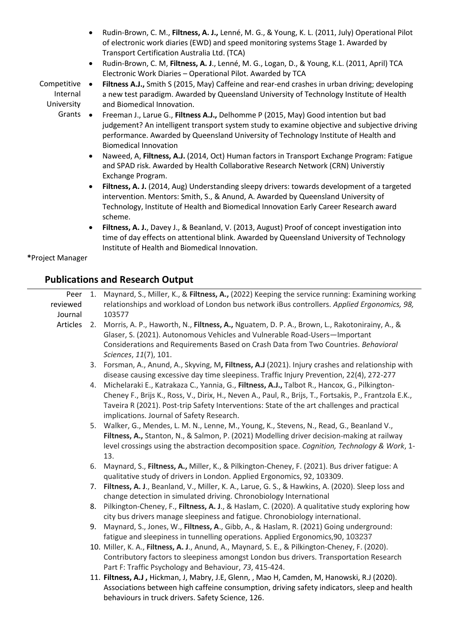- Rudin-Brown, C. M., **Filtness, A. J.,** Lenné, M. G., & Young, K. L. (2011, July) Operational Pilot of electronic work diaries (EWD) and speed monitoring systems Stage 1. Awarded by Transport Certification Australia Ltd. (TCA)
- Rudin-Brown, C. M, **Filtness, A. J**., Lenné, M. G., Logan, D., & Young, K.L. (2011, April) TCA Electronic Work Diaries – Operational Pilot. Awarded by TCA
- Competitive Internal University • **Filtness A.J.,** Smith S (2015, May) Caffeine and rear-end crashes in urban driving; developing a new test paradigm. Awarded by Queensland University of Technology Institute of Health and Biomedical Innovation.

Grants • • Freeman J., Larue G., **Filtness A.J.,** Delhomme P (2015, May) Good intention but bad judgement? An intelligent transport system study to examine objective and subjective driving performance. Awarded by Queensland University of Technology Institute of Health and Biomedical Innovation

- Naweed, A, **Filtness, A.J.** (2014, Oct) Human factors in Transport Exchange Program: Fatigue and SPAD risk. Awarded by Health Collaborative Research Network (CRN) Universtiy Exchange Program.
- **Filtness, A. J.** (2014, Aug) Understanding sleepy drivers: towards development of a targeted intervention. Mentors: Smith, S., & Anund, A. Awarded by Queensland University of Technology, Institute of Health and Biomedical Innovation Early Career Research award scheme.
- **Filtness, A. J.**, Davey J., & Beanland, V. (2013, August) Proof of concept investigation into time of day effects on attentional blink. Awarded by Queensland University of Technology Institute of Health and Biomedical Innovation.

**\***Project Manager

#### **Publications and Research Output**

| Peer<br>reviewed | 1. | Maynard, S., Miller, K., & Filtness, A., (2022) Keeping the service running: Examining working<br>relationships and workload of London bus network iBus controllers. Applied Ergonomics, 98,                                                                     |
|------------------|----|------------------------------------------------------------------------------------------------------------------------------------------------------------------------------------------------------------------------------------------------------------------|
| Journal          |    | 103577                                                                                                                                                                                                                                                           |
| Articles         | 2. | Morris, A. P., Haworth, N., Filtness, A., Nguatem, D. P. A., Brown, L., Rakotonirainy, A., &<br>Glaser, S. (2021). Autonomous Vehicles and Vulnerable Road-Users-Important<br>Considerations and Requirements Based on Crash Data from Two Countries. Behavioral |
|                  |    | Sciences, 11(7), 101.                                                                                                                                                                                                                                            |
|                  | 3. | Forsman, A., Anund, A., Skyving, M, Filtness, A.J (2021). Injury crashes and relationship with                                                                                                                                                                   |
|                  |    | disease causing excessive day time sleepiness. Traffic Injury Prevention, 22(4), 272-277                                                                                                                                                                         |
|                  | 4. | Michelaraki E., Katrakaza C., Yannia, G., Filtness, A.J., Talbot R., Hancox, G., Pilkington-                                                                                                                                                                     |
|                  |    | Cheney F., Brijs K., Ross, V., Dirix, H., Neven A., Paul, R., Brijs, T., Fortsakis, P., Frantzola E.K.,                                                                                                                                                          |
|                  |    | Taveira R (2021). Post-trip Safety Interventions: State of the art challenges and practical                                                                                                                                                                      |
|                  |    | implications. Journal of Safety Research.                                                                                                                                                                                                                        |
|                  |    | 5. Walker, G., Mendes, L. M. N., Lenne, M., Young, K., Stevens, N., Read, G., Beanland V.,                                                                                                                                                                       |
|                  |    | Filtness, A., Stanton, N., & Salmon, P. (2021) Modelling driver decision-making at railway                                                                                                                                                                       |
|                  |    | level crossings using the abstraction decomposition space. Cognition, Technology & Work, 1-                                                                                                                                                                      |
|                  |    | 13.                                                                                                                                                                                                                                                              |
|                  | 6. | Maynard, S., Filtness, A., Miller, K., & Pilkington-Cheney, F. (2021). Bus driver fatigue: A<br>qualitative study of drivers in London. Applied Ergonomics, 92, 103309.                                                                                          |
|                  |    | 7. Filtness, A. J., Beanland, V., Miller, K. A., Larue, G. S., & Hawkins, A. (2020). Sleep loss and                                                                                                                                                              |
|                  |    | change detection in simulated driving. Chronobiology International                                                                                                                                                                                               |
|                  | 8. | Pilkington-Cheney, F., Filtness, A. J., & Haslam, C. (2020). A qualitative study exploring how                                                                                                                                                                   |
|                  |    | city bus drivers manage sleepiness and fatigue. Chronobiology international.                                                                                                                                                                                     |
|                  | 9. | Maynard, S., Jones, W., Filtness, A., Gibb, A., & Haslam, R. (2021) Going underground:                                                                                                                                                                           |
|                  |    | fatigue and sleepiness in tunnelling operations. Applied Ergonomics, 90, 103237                                                                                                                                                                                  |
|                  |    | 10. Miller, K. A., Filtness, A. J., Anund, A., Maynard, S. E., & Pilkington-Cheney, F. (2020).                                                                                                                                                                   |
|                  |    | Contributory factors to sleepiness amongst London bus drivers. Transportation Research                                                                                                                                                                           |
|                  |    | Part F: Traffic Psychology and Behaviour, 73, 415-424.                                                                                                                                                                                                           |
|                  |    | 11. Filtness, A.J, Hickman, J, Mabry, J.E, Glenn, , Mao H, Camden, M, Hanowski, R.J (2020).                                                                                                                                                                      |
|                  |    | Associations between high caffeine consumption, driving safety indicators, sleep and health                                                                                                                                                                      |
|                  |    | behaviours in truck drivers. Safety Science, 126.                                                                                                                                                                                                                |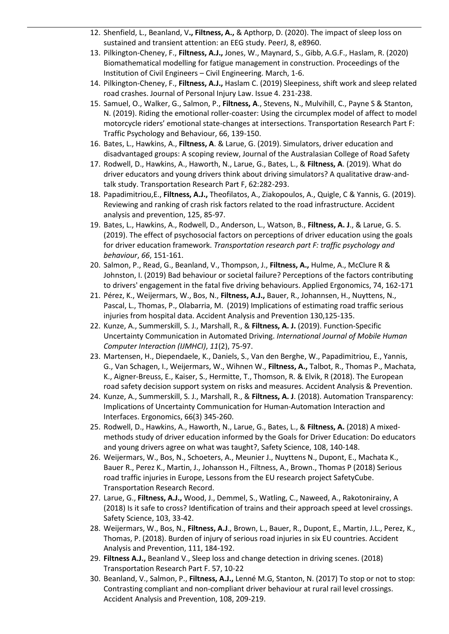- 12. Shenfield, L., Beanland, V**., Filtness, A.,** & Apthorp, D. (2020). The impact of sleep loss on sustained and transient attention: an EEG study. PeerJ, 8, e8960.
- 13. Pilkington-Cheney, F., **Filtness, A.J.,** Jones, W., Maynard, S., Gibb, A.G.F., Haslam, R. (2020) Biomathematical modelling for fatigue management in construction. Proceedings of the Institution of Civil Engineers – Civil Engineering. March, 1-6.
- 14. Pilkington-Cheney, F., **Filtness, A.J.,** Haslam C. (2019) Sleepiness, shift work and sleep related road crashes. Journal of Personal Injury Law. Issue 4. 231-238.
- 15. Samuel, O., Walker, G., Salmon, P., **Filtness, A**., Stevens, N., Mulvihill, C., Payne S & Stanton, N. (2019). Riding the emotional roller-coaster: Using the circumplex model of affect to model motorcycle riders' emotional state-changes at intersections. Transportation Research Part F: Traffic Psychology and Behaviour, 66, 139-150.
- 16. Bates, L., Hawkins, A., **Filtness, A**. & Larue, G. (2019). Simulators, driver education and disadvantaged groups: A scoping review, Journal of the Australasian College of Road Safety
- 17. Rodwell, D., Hawkins, A., Haworth, N., Larue, G., Bates, L., & **Filtness, A**. (2019). What do driver educators and young drivers think about driving simulators? A qualitative draw-andtalk study. Transportation Research Part F, 62:282-293.
- 18. Papadimitriou,E., **Filtness, A.J.,** Theofilatos, A., Ziakopoulos, A., Quigle, C & Yannis, G. (2019). Reviewing and ranking of crash risk factors related to the road infrastructure. Accident analysis and prevention, 125, 85-97.
- 19. Bates, L., Hawkins, A., Rodwell, D., Anderson, L., Watson, B., **Filtness, A. J**., & Larue, G. S. (2019). The effect of psychosocial factors on perceptions of driver education using the goals for driver education framework. *Transportation research part F: traffic psychology and behaviour*, *66*, 151-161.
- 20. Salmon, P., Read, G., Beanland, V., Thompson, J., **Filtness, A.,** Hulme, A., McClure R & Johnston, I. (2019) Bad behaviour or societal failure? Perceptions of the factors contributing to drivers' engagement in the fatal five driving behaviours. Applied Ergonomics, 74, 162-171
- 21. Pérez, K., Weijermars, W., Bos, N., **Filtness, A.J.,** Bauer, R., Johannsen, H., Nuyttens, N., Pascal, L., Thomas, P., Olabarria, M. (2019) Implications of estimating road traffic serious injuries from hospital data. Accident Analysis and Prevention 130,125-135.
- 22. Kunze, A., Summerskill, S. J., Marshall, R., & **Filtness, A. J.** (2019). Function-Specific Uncertainty Communication in Automated Driving. *International Journal of Mobile Human Computer Interaction (IJMHCI)*, *11*(2), 75-97.
- 23. Martensen, H., Diependaele, K., Daniels, S., Van den Berghe, W., Papadimitriou, E., Yannis, G., Van Schagen, I., Weijermars, W., Wihnen W., **Filtness, A.,** Talbot, R., Thomas P., Machata, K., Aigner-Breuss, E., Kaiser, S., Hermitte, T., Thomson, R. & Elvik, R (2018). The European road safety decision support system on risks and measures. Accident Analysis & Prevention.
- 24. Kunze, A., Summerskill, S. J., Marshall, R., & **Filtness, A. J**. (2018). Automation Transparency: Implications of Uncertainty Communication for Human-Automation Interaction and Interfaces. Ergonomics, 66(3) 345-260.
- 25. Rodwell, D., Hawkins, A., Haworth, N., Larue, G., Bates, L., & **Filtness, A.** (2018) A mixedmethods study of driver education informed by the Goals for Driver Education: Do educators and young drivers agree on what was taught?, Safety Science, 108, 140-148.
- 26. Weijermars, W., Bos, N., Schoeters, A., Meunier J., Nuyttens N., Dupont, E., Machata K., Bauer R., Perez K., Martin, J., Johansson H., Filtness, A., Brown., Thomas P (2018) Serious road traffic injuries in Europe, Lessons from the EU research project SafetyCube. Transportation Research Record.
- 27. Larue, G., **Filtness, A.J.,** Wood, J., Demmel, S., Watling, C., Naweed, A., Rakotonirainy, A (2018) Is it safe to cross? Identification of trains and their approach speed at level crossings. Safety Science, 103, 33-42.
- 28. Weijermars, W., Bos, N., **Filtness, A.J**., Brown, L., Bauer, R., Dupont, E., Martin, J.L., Perez, K., Thomas, P. (2018). Burden of injury of serious road injuries in six EU countries. Accident Analysis and Prevention, 111, 184-192.
- 29. **Filtness A.J.,** Beanland V., Sleep loss and change detection in driving scenes. (2018) Transportation Research Part F. 57, 10-22
- 30. Beanland, V., Salmon, P., **Filtness, A.J.,** Lenné M.G, Stanton, N. (2017) To stop or not to stop: Contrasting compliant and non-compliant driver behaviour at rural rail level crossings. Accident Analysis and Prevention, 108, 209-219.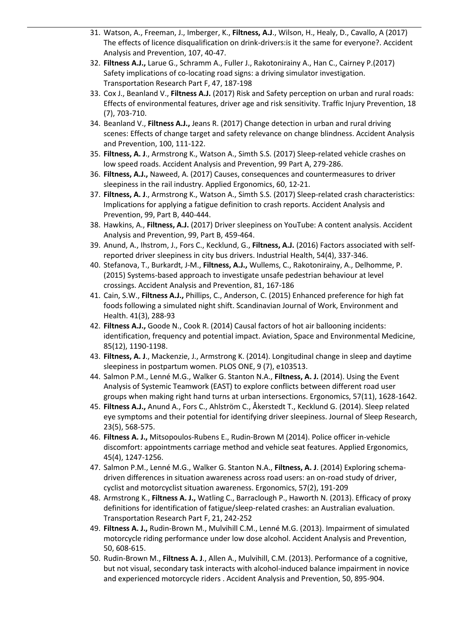- 31. Watson, A., Freeman, J., Imberger, K., **Filtness, A.J**., Wilson, H., Healy, D., Cavallo, A (2017) The effects of licence disqualification on drink-drivers:is it the same for everyone?. Accident Analysis and Prevention, 107, 40-47.
- 32. **Filtness A.J.,** Larue G., Schramm A., Fuller J., Rakotonirainy A., Han C., Cairney P.(2017) Safety implications of co-locating road signs: a driving simulator investigation. Transportation Research Part F, 47, 187-198
- 33. Cox J., Beanland V., **Filtness A.J.** (2017) Risk and Safety perception on urban and rural roads: Effects of environmental features, driver age and risk sensitivity. Traffic Injury Prevention, 18 (7), 703-710.
- 34. Beanland V., **Filtness A.J.,** Jeans R. (2017) Change detection in urban and rural driving scenes: Effects of change target and safety relevance on change blindness. Accident Analysis and Prevention, 100, 111-122.
- 35. **Filtness, A. J**., Armstrong K., Watson A., Simth S.S. (2017) Sleep-related vehicle crashes on low speed roads. Accident Analysis and Prevention, 99 Part A, 279-286.
- 36. **Filtness, A.J.,** Naweed, A. (2017) Causes, consequences and countermeasures to driver sleepiness in the rail industry. Applied Ergonomics, 60, 12-21.
- 37. **Filtness, A. J**., Armstrong K., Watson A., Simth S.S. (2017) Sleep-related crash characteristics: Implications for applying a fatigue definition to crash reports. Accident Analysis and Prevention, 99, Part B, 440-444.
- 38. Hawkins, A., **Filtness, A.J.** (2017) Driver sleepiness on YouTube: A content analysis. Accident Analysis and Prevention, 99, Part B, 459-464.
- 39. Anund, A., Ihstrom, J., Fors C., Kecklund, G., **Filtness, A.J.** (2016) Factors associated with selfreported driver sleepiness in city bus drivers. Industrial Health, 54(4), 337-346.
- 40. Stefanova, T., Burkardt, J-M., **Filtness, A.J.,** Wullems, C., Rakotonirainy, A., Delhomme, P. (2015) Systems-based approach to investigate unsafe pedestrian behaviour at level crossings. Accident Analysis and Prevention, 81, 167-186
- 41. Cain, S.W., **Filtness A.J.,** Phillips, C., Anderson, C. (2015) Enhanced preference for high fat foods following a simulated night shift. Scandinavian Journal of Work, Environment and Health. 41(3), 288-93
- 42. **Filtness A.J.,** Goode N., Cook R. (2014) Causal factors of hot air ballooning incidents: identification, frequency and potential impact. Aviation, Space and Environmental Medicine, 85(12), 1190-1198.
- 43. **Filtness, A. J**., Mackenzie, J., Armstrong K. (2014). Longitudinal change in sleep and daytime sleepiness in postpartum women. PLOS ONE, 9 (7), e103513.
- 44. Salmon P.M., Lenné M.G., Walker G. Stanton N.A., **Filtness, A. J.** (2014). Using the Event Analysis of Systemic Teamwork (EAST) to explore conflicts between different road user groups when making right hand turns at urban intersections. Ergonomics, 57(11), 1628-1642.
- 45. **Filtness A.J.,** Anund A., Fors C., Ahlström C., Åkerstedt T., Kecklund G. (2014). Sleep related eye symptoms and their potential for identifying driver sleepiness. Journal of Sleep Research, 23(5), 568-575.
- 46. **Filtness A. J.,** Mitsopoulos-Rubens E., Rudin-Brown M (2014). Police officer in-vehicle discomfort: appointments carriage method and vehicle seat features. Applied Ergonomics, 45(4), 1247-1256.
- 47. Salmon P.M., Lenné M.G., Walker G. Stanton N.A., **Filtness, A. J**. (2014) Exploring schemadriven differences in situation awareness across road users: an on-road study of driver, cyclist and motorcyclist situation awareness. Ergonomics, 57(2), 191-209
- 48. Armstrong K., **Filtness A. J.,** Watling C., Barraclough P., Haworth N. (2013). Efficacy of proxy definitions for identification of fatigue/sleep-related crashes: an Australian evaluation. Transportation Research Part F, 21, 242-252
- 49. **Filtness A. J.,** Rudin-Brown M., Mulvihill C.M., Lenné M.G. (2013). Impairment of simulated motorcycle riding performance under low dose alcohol. Accident Analysis and Prevention, 50, 608-615.
- 50. Rudin-Brown M., **Filtness A. J**., Allen A., Mulvihill, C.M. (2013). Performance of a cognitive, but not visual, secondary task interacts with alcohol-induced balance impairment in novice and experienced motorcycle riders . Accident Analysis and Prevention, 50, 895-904.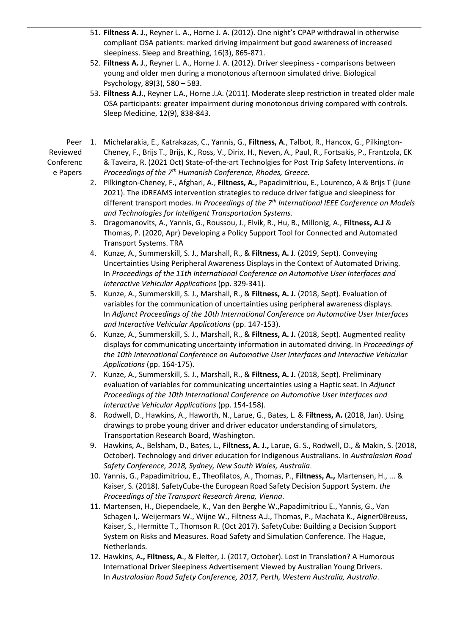- 51. **Filtness A. J**., Reyner L. A., Horne J. A. (2012). One night's CPAP withdrawal in otherwise compliant OSA patients: marked driving impairment but good awareness of increased sleepiness. Sleep and Breathing, 16(3), 865-871.
- 52. **Filtness A. J**., Reyner L. A., Horne J. A. (2012). Driver sleepiness comparisons between young and older men during a monotonous afternoon simulated drive. Biological Psychology, 89(3), 580 – 583.
- 53. **Filtness A.J**., Reyner L.A., Horne J.A. (2011). Moderate sleep restriction in treated older male OSA participants: greater impairment during monotonous driving compared with controls. Sleep Medicine, 12(9), 838-843.

Peer Reviewed Conferenc e Papers

- 1. Michelarakia, E., Katrakazas, C., Yannis, G., **Filtness, A**., Talbot, R., Hancox, G., Pilkington-Cheney, F., Brijs T., Brijs, K., Ross, V., Dirix, H., Neven, A., Paul, R., Fortsakis, P., Frantzola, EK & Taveira, R. (2021 Oct) State-of-the-art Technolgies for Post Trip Safety Interventions. *In Proceedings of the 7th Humanish Conference, Rhodes, Greece.*
- 2. Pilkington-Cheney, F., Afghari, A., **Filtness, A.,** Papadimitriou, E., Lourenco, A & Brijs T (June 2021). The iDREAMS intervention strategies to reduce driver fatigue and sleepiness for different transport modes. *In Proceedings of the 7th International IEEE Conference on Models and Technologies for Intelligent Transportation Systems.*
- 3. Dragomanovits, A., Yannis, G., Roussou, J., Elvik, R., Hu, B., Millonig, A., **Filtness, A.J** & Thomas, P. (2020, Apr) Developing a Policy Support Tool for Connected and Automated Transport Systems. TRA
- 4. Kunze, A., Summerskill, S. J., Marshall, R., & **Filtness, A. J**. (2019, Sept). Conveying Uncertainties Using Peripheral Awareness Displays in the Context of Automated Driving. In *Proceedings of the 11th International Conference on Automotive User Interfaces and Interactive Vehicular Applications* (pp. 329-341).
- 5. Kunze, A., Summerskill, S. J., Marshall, R., & **Filtness, A. J.** (2018, Sept). Evaluation of variables for the communication of uncertainties using peripheral awareness displays. In *Adjunct Proceedings of the 10th International Conference on Automotive User Interfaces and Interactive Vehicular Applications* (pp. 147-153).
- 6. Kunze, A., Summerskill, S. J., Marshall, R., & **Filtness, A. J.** (2018, Sept). Augmented reality displays for communicating uncertainty information in automated driving. In *Proceedings of the 10th International Conference on Automotive User Interfaces and Interactive Vehicular Applications* (pp. 164-175).
- 7. Kunze, A., Summerskill, S. J., Marshall, R., & **Filtness, A. J.** (2018, Sept). Preliminary evaluation of variables for communicating uncertainties using a Haptic seat. In *Adjunct Proceedings of the 10th International Conference on Automotive User Interfaces and Interactive Vehicular Applications* (pp. 154-158).
- 8. Rodwell, D., Hawkins, A., Haworth, N., Larue, G., Bates, L. & **Filtness, A.** (2018, Jan). Using drawings to probe young driver and driver educator understanding of simulators, Transportation Research Board, Washington.
- 9. Hawkins, A., Belsham, D., Bates, L., **Filtness, A. J.,** Larue, G. S., Rodwell, D., & Makin, S. (2018, October). Technology and driver education for Indigenous Australians. In *Australasian Road Safety Conference, 2018, Sydney, New South Wales, Australia*.
- 10. Yannis, G., Papadimitriou, E., Theofilatos, A., Thomas, P., **Filtness, A.,** Martensen, H., ... & Kaiser, S. (2018). SafetyCube-the European Road Safety Decision Support System. *the Proceedings of the Transport Research Arena, Vienna*.
- 11. Martensen, H., Diependaele, K., Van den Berghe W.,Papadimitriou E., Yannis, G., Van Schagen I,. Weijermars W., Wijne W., Filtness A.J., Thomas, P., Machata K., Aigner0Breuss, Kaiser, S., Hermitte T., Thomson R. (Oct 2017). SafetyCube: Building a Decision Support System on Risks and Measures. Road Safety and Simulation Conference. The Hague, Netherlands.
- 12. Hawkins, A**., Filtness, A**., & Fleiter, J. (2017, October). Lost in Translation? A Humorous International Driver Sleepiness Advertisement Viewed by Australian Young Drivers. In *Australasian Road Safety Conference, 2017, Perth, Western Australia, Australia*.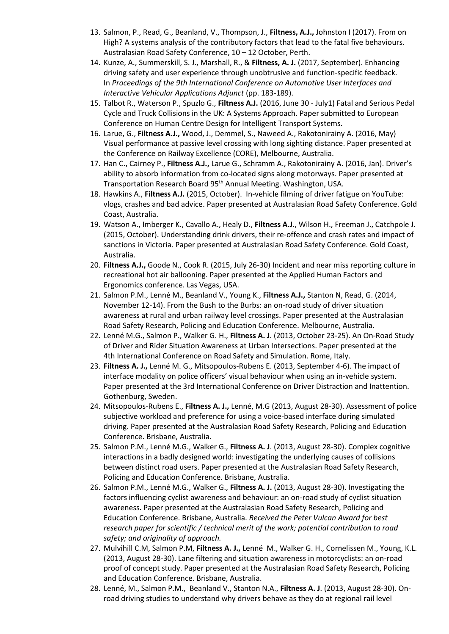- 13. Salmon, P., Read, G., Beanland, V., Thompson, J., **Filtness, A.J.,** Johnston I (2017). From on High? A systems analysis of the contributory factors that lead to the fatal five behaviours. Australasian Road Safety Conference, 10 – 12 October, Perth.
- 14. Kunze, A., Summerskill, S. J., Marshall, R., & **Filtness, A. J.** (2017, September). Enhancing driving safety and user experience through unobtrusive and function-specific feedback. In *Proceedings of the 9th International Conference on Automotive User Interfaces and Interactive Vehicular Applications Adjunct* (pp. 183-189).
- 15. Talbot R., Waterson P., Spuzlo G., **Filtness A.J.** (2016, June 30 July1) Fatal and Serious Pedal Cycle and Truck Collisions in the UK: A Systems Approach. Paper submitted to European Conference on Human Centre Design for Intelligent Transport Systems.
- 16. Larue, G., **Filtness A.J.,** Wood, J., Demmel, S., Naweed A., Rakotonirainy A. (2016, May) Visual performance at passive level crossing with long sighting distance. Paper presented at the Conference on Railway Excellence (CORE), Melbourne, Australia.
- 17. Han C., Cairney P., **Filtness A.J.,** Larue G., Schramm A., Rakotonirainy A. (2016, Jan). Driver's ability to absorb information from co-located signs along motorways. Paper presented at Transportation Research Board 95<sup>th</sup> Annual Meeting. Washington, USA.
- 18. Hawkins A., **Filtness A.J.** (2015, October). In-vehicle filming of driver fatigue on YouTube: vlogs, crashes and bad advice. Paper presented at Australasian Road Safety Conference. Gold Coast, Australia.
- 19. Watson A., Imberger K., Cavallo A., Healy D., **Filtness A.J**., Wilson H., Freeman J., Catchpole J. (2015, October). Understanding drink drivers, their re-offence and crash rates and impact of sanctions in Victoria. Paper presented at Australasian Road Safety Conference. Gold Coast, Australia.
- 20. **Filtness A.J.,** Goode N., Cook R. (2015, July 26-30) Incident and near miss reporting culture in recreational hot air ballooning. Paper presented at the Applied Human Factors and Ergonomics conference. Las Vegas, USA.
- 21. Salmon P.M., Lenné M., Beanland V., Young K., **Filtness A.J.,** Stanton N, Read, G. (2014, November 12-14). From the Bush to the Burbs: an on-road study of driver situation awareness at rural and urban railway level crossings. Paper presented at the Australasian Road Safety Research, Policing and Education Conference. Melbourne, Australia.
- 22. Lenné M.G., Salmon P., Walker G. H., **Filtness A. J**. (2013, October 23-25). An On-Road Study of Driver and Rider Situation Awareness at Urban Intersections. Paper presented at the 4th International Conference on Road Safety and Simulation. Rome, Italy.
- 23. **Filtness A. J.,** Lenné M. G., Mitsopoulos-Rubens E. (2013, September 4-6). The impact of interface modality on police officers' visual behaviour when using an in-vehicle system. Paper presented at the 3rd International Conference on Driver Distraction and Inattention. Gothenburg, Sweden.
- 24. Mitsopoulos-Rubens E., **Filtness A. J.,** Lenné, M.G (2013, August 28-30). Assessment of police subjective workload and preference for using a voice-based interface during simulated driving. Paper presented at the Australasian Road Safety Research, Policing and Education Conference. Brisbane, Australia.
- 25. Salmon P.M., Lenné M.G., Walker G., **Filtness A. J**. (2013, August 28-30). Complex cognitive interactions in a badly designed world: investigating the underlying causes of collisions between distinct road users. Paper presented at the Australasian Road Safety Research, Policing and Education Conference. Brisbane, Australia.
- 26. Salmon P.M., Lenné M.G., Walker G., **Filtness A. J.** (2013, August 28-30). Investigating the factors influencing cyclist awareness and behaviour: an on-road study of cyclist situation awareness. Paper presented at the Australasian Road Safety Research, Policing and Education Conference. Brisbane, Australia. *Received the Peter Vulcan Award for best research paper for scientific / technical merit of the work; potential contribution to road safety; and originality of approach.*
- 27. Mulvihill C.M, Salmon P.M, **Filtness A. J.,** Lenné M., Walker G. H., Cornelissen M., Young, K.L. (2013, August 28-30). Lane filtering and situation awareness in motorcyclists: an on-road proof of concept study. Paper presented at the Australasian Road Safety Research, Policing and Education Conference. Brisbane, Australia.
- 28. Lenné, M., Salmon P.M., Beanland V., Stanton N.A., **Filtness A. J**. (2013, August 28-30). Onroad driving studies to understand why drivers behave as they do at regional rail level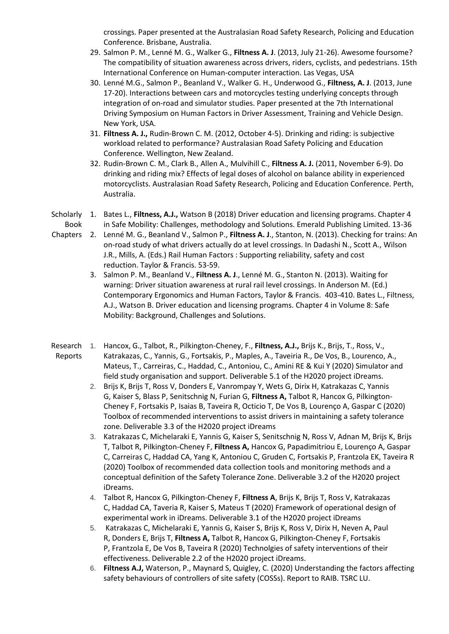crossings. Paper presented at the Australasian Road Safety Research, Policing and Education Conference. Brisbane, Australia.

- 29. Salmon P. M., Lenné M. G., Walker G., **Filtness A. J**. (2013, July 21-26). Awesome foursome? The compatibility of situation awareness across drivers, riders, cyclists, and pedestrians. 15th International Conference on Human-computer interaction. Las Vegas, USA
- 30. Lenné M.G., Salmon P., Beanland V., Walker G. H., Underwood G., **Filtness, A. J**. (2013, June 17-20). Interactions between cars and motorcycles testing underlying concepts through integration of on-road and simulator studies. Paper presented at the 7th International Driving Symposium on Human Factors in Driver Assessment, Training and Vehicle Design. New York, USA.
- 31. **Filtness A. J.,** Rudin-Brown C. M. (2012, October 4-5). Drinking and riding: is subjective workload related to performance? Australasian Road Safety Policing and Education Conference. Wellington, New Zealand.
- 32. Rudin-Brown C. M., Clark B., Allen A., Mulvihill C., **Filtness A. J.** (2011, November 6-9). Do drinking and riding mix? Effects of legal doses of alcohol on balance ability in experienced motorcyclists. Australasian Road Safety Research, Policing and Education Conference. Perth, Australia.
- Scholarly 1. Bates L., **Filtness, A.J.,** Watson B (2018) Driver education and licensing programs. Chapter 4 Book in Safe Mobility: Challenges, methodology and Solutions. Emerald Publishing Limited. 13-36
- Chapters 2. Lenné M. G., Beanland V., Salmon P., **Filtness A. J**., Stanton, N. (2013). Checking for trains: An on-road study of what drivers actually do at level crossings. In Dadashi N., Scott A., Wilson J.R., Mills, A. (Eds.) Rail Human Factors : Supporting reliability, safety and cost reduction. Taylor & Francis. 53-59.
	- 3. Salmon P. M., Beanland V., **Filtness A. J**., Lenné M. G., Stanton N. (2013). Waiting for warning: Driver situation awareness at rural rail level crossings. In Anderson M. (Ed.) Contemporary Ergonomics and Human Factors, Taylor & Francis. 403-410. Bates L., Filtness, A.J., Watson B. Driver education and licensing programs. Chapter 4 in Volume 8: Safe Mobility: Background, Challenges and Solutions.
- Research 1. Hancox, G., Talbot, R., Pilkington-Cheney, F., **Filtness, A.J.,** Brijs K., Brijs, T., Ross, V., Reports Katrakazas, C., Yannis, G., Fortsakis, P., Maples, A., Taveiria R., De Vos, B., Lourenco, A., Mateus, T., Carreiras, C., Haddad, C., Antoniou, C., Amini RE & Kui Y (2020) Simulator and field study organisation and support. Deliverable 5.1 of the H2020 project iDreams.
	- 2. Brijs K, Brijs T, Ross V, Donders E, Vanrompay Y, Wets G, Dirix H, Katrakazas C, Yannis G, Kaiser S, Blass P, Senitschnig N, Furian G, **[Filtness A,](https://lupin.lboro.ac.uk/userprofile.html?uid=12441)** [Talbot R,](https://lupin.lboro.ac.uk/userprofile.html?uid=10104) [Hancox G,](https://lupin.lboro.ac.uk/userprofile.html?uid=20462) [Pilkington-](https://lupin.lboro.ac.uk/userprofile.html?uid=19447)[Cheney F,](https://lupin.lboro.ac.uk/userprofile.html?uid=19447) Fortsakis P, Isaias B, Taveira R, Octicio T, De Vos B, Lourenço A, Gaspar C (2020) Toolbox of recommended interventions to assist drivers in maintaining a safety tolerance zone. Deliverable 3.3 of the H2020 project iDreams
	- 3. Katrakazas C, Michelaraki E, Yannis G, Kaiser S, Senitschnig N, Ross V, Adnan M, Brijs K, Brijs T, [Talbot R,](https://lupin.lboro.ac.uk/userprofile.html?uid=10104) [Pilkington-Cheney F,](https://lupin.lboro.ac.uk/userprofile.html?uid=19447) **[Filtness A,](https://lupin.lboro.ac.uk/userprofile.html?uid=12441)** [Hancox G,](https://lupin.lboro.ac.uk/userprofile.html?uid=20462) Papadimitriou E, Lourenço A, Gaspar C, Carreiras C, Haddad CA, Yang K, Antoniou C, Gruden C, Fortsakis P, Frantzola EK, Taveira R (2020) Toolbox of recommended data collection tools and monitoring methods and a conceptual definition of the Safety Tolerance Zone. Deliverable 3.2 of the H2020 project iDreams.
	- 4. [Talbot R,](https://lupin.lboro.ac.uk/userprofile.html?uid=10104) [Hancox G,](https://lupin.lboro.ac.uk/userprofile.html?uid=20462) [Pilkington-Cheney F,](https://lupin.lboro.ac.uk/userprofile.html?uid=19447) **[Filtness A](https://lupin.lboro.ac.uk/userprofile.html?uid=12441)**, Brijs K, Brijs T, Ross V, Katrakazas C, Haddad CA, Taveria R, Kaiser S, Mateus T (2020) Framework of operational design of experimental work in iDreams. Deliverable 3.1 of the H2020 project iDreams
	- 5. Katrakazas C, Michelaraki E, Yannis G, Kaiser S, Brijs K, Ross V, Dirix H, Neven A, Paul R, Donders E, Brijs T, **[Filtness A,](https://lupin.lboro.ac.uk/userprofile.html?uid=12441)** [Talbot R,](https://lupin.lboro.ac.uk/userprofile.html?uid=10104) [Hancox G,](https://lupin.lboro.ac.uk/userprofile.html?uid=20462) [Pilkington-Cheney F,](https://lupin.lboro.ac.uk/userprofile.html?uid=19447) Fortsakis P, Frantzola E, De Vos B, Taveira R (2020) Technolgies of safety interventions of their effectiveness. Deliverable 2.2 of the H2020 project iDreams.
	- 6. **Filtness A.J,** Waterson, P., Maynard S, Quigley, C. (2020) Understanding the factors affecting safety behaviours of controllers of site safety (COSSs). Report to RAIB. TSRC LU.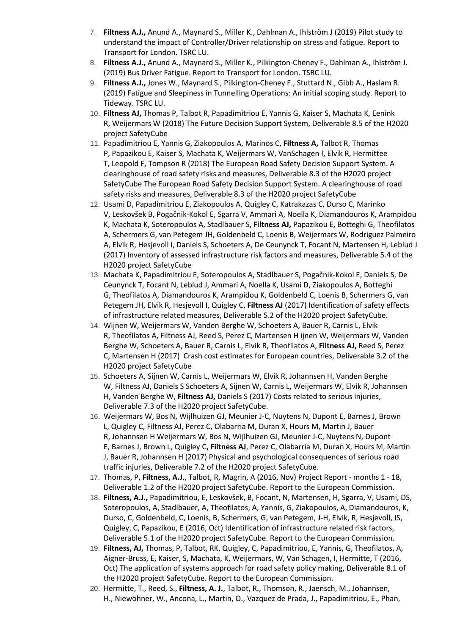- 7. **Filtness A.J.,** Anund A., Maynard S., Miller K., Dahlman A., Ihlström J (2019) Pilot study to understand the impact of Controller/Driver relationship on stress and fatigue. Report to Transport for London. TSRC LU.
- 8. **Filtness A.J.,** Anund A., Maynard S., Miller K., Pilkington-Cheney F., Dahlman A., Ihlström J. (2019) Bus Driver Fatigue. Report to Transport for London. TSRC LU.
- 9. **Filtness A.J.,** Jones W., Maynard S., Pilkington-Cheney F., Stuttard N., Gibb A., Haslam R. (2019) Fatigue and Sleepiness in Tunnelling Operations: An initial scoping study. Report to Tideway. TSRC LU.
- 10. **[Filtness AJ,](https://lupin.lboro.ac.uk/userprofile.html?uid=12441)** Thomas P, Talbot R, Papadimitriou E, Yannis G, Kaiser S, Machata K, Eenink R, Weijermars W (2018[\) The Future Decision Support System, Deliverable 8.5 of the H2020](https://lupin.lboro.ac.uk/viewobject.html?cid=1&id=333744)  [project SafetyCube](https://lupin.lboro.ac.uk/viewobject.html?cid=1&id=333744)
- 11. Papadimitriou E, Yannis G, Ziakopoulos A, Marinos C, **[Filtness A,](https://lupin.lboro.ac.uk/userprofile.html?uid=12441)** Talbot R, Thomas P, Papazikou E, Kaiser S, Machata K, Weijermars W, VanSchagen I, Elvik R, Hermittee T, Leopold F, Tompson R (2018[\) The European Road Safety Decision Support System. A](https://lupin.lboro.ac.uk/viewobject.html?cid=1&id=333743)  [clearinghouse of road safety risks and measures, Deliverable 8.3 of the H2020 project](https://lupin.lboro.ac.uk/viewobject.html?cid=1&id=333743)  [SafetyCube](https://lupin.lboro.ac.uk/viewobject.html?cid=1&id=333743) [The European Road Safety Decision Support System. A clearinghouse of road](https://lupin.lboro.ac.uk/viewobject.html?cid=1&id=333743)  [safety risks and measures, Deliverable 8.3 of the H2020 project SafetyCube](https://lupin.lboro.ac.uk/viewobject.html?cid=1&id=333743)
- 12. Usami D, Papadimitriou E, Ziakopoulos A, [Quigley C,](https://lupin.lboro.ac.uk/userprofile.html?uid=7927) Katrakazas C, Durso C, Marinko V, Leskovšek B, Pogačnik-Kokol E, Sgarra V, Ammari A, Noella K, Diamandouros K, Arampidou K, Machata K, Soteropoulos A, Stadlbauer S, **[Filtness AJ,](https://lupin.lboro.ac.uk/userprofile.html?uid=12441)** Papazikou E, Botteghi G, Theofilatos A, Schermers G, van Petegem JH, Goldenbeld C, Loenis B, Weijermars W, Rodriguez Palmeiro A, Elvik R, Hesjevoll I, Daniels S, Schoeters A, De Ceunynck T, Focant N, Martensen H, Leblud J (2017) Inventory of assessed infrastructure risk factors and measures, Deliverable 5.4 of the H2020 project SafetyCube
- 13. Machata K, Papadimitriou E, Soteropoulos A, Stadlbauer S, Pogačnik-Kokol E, Daniels S, De Ceunynck T, Focant N, Leblud J, Ammari A, Noella K, Usami D, Ziakopoulos A, Botteghi G, Theofilatos A, Diamandouros K, Arampidou K, Goldenbeld C, Loenis B, Schermers G, van Petegem JH, Elvik R, Hesjevoll I, [Quigley C,](https://lupin.lboro.ac.uk/userprofile.html?uid=7927) **[Filtness AJ](https://lupin.lboro.ac.uk/userprofile.html?uid=12441)** (2017) Identification of safety effects of infrastructure related measures, Deliverable 5.2 of the H2020 project SafetyCube.
- 14. Wijnen W, Weijermars W, Vanden Berghe W, Schoeters A, Bauer R, Carnis L, Elvik R, Theofilatos A, [Filtness AJ,](https://lupin.lboro.ac.uk/userprofile.html?uid=12441) [Reed S,](https://lupin.lboro.ac.uk/userprofile.html?uid=12974) Perez C, Martensen H ijnen W, Weijermars W, Vanden Berghe W, Schoeters A, Bauer R, Carnis L, Elvik R, Theofilatos A, **[Filtness AJ,](https://lupin.lboro.ac.uk/userprofile.html?uid=12441)** [Reed S,](https://lupin.lboro.ac.uk/userprofile.html?uid=12974) Perez C, Martensen H (2017) [Crash cost estimates for European countries, Deliverable 3.2 of the](https://lupin.lboro.ac.uk/viewobject.html?cid=1&id=269704)  [H2020 project SafetyCube](https://lupin.lboro.ac.uk/viewobject.html?cid=1&id=269704)
- 15. Schoeters A, Sijnen W, Carnis L, Weijermars W, Elvik R, Johannsen H, Vanden Berghe W, [Filtness AJ,](https://lupin.lboro.ac.uk/userprofile.html?uid=12441) Daniels S Schoeters A, Sijnen W, Carnis L, Weijermars W, Elvik R, Johannsen H, Vanden Berghe W, **[Filtness AJ,](https://lupin.lboro.ac.uk/userprofile.html?uid=12441)** Daniels S (2017) [Costs related to serious injuries,](https://lupin.lboro.ac.uk/viewobject.html?cid=1&id=269906)  [Deliverable 7.3 of the H2020 project SafetyCube.](https://lupin.lboro.ac.uk/viewobject.html?cid=1&id=269906)
- 16. Weijermars W, Bos N, Wijlhuizen GJ, Meunier J-C, Nuytens N, Dupont E, [Barnes J,](https://lupin.lboro.ac.uk/userprofile.html?uid=9884) [Brown](https://lupin.lboro.ac.uk/userprofile.html?uid=19866)  [L,](https://lupin.lboro.ac.uk/userprofile.html?uid=19866) [Quigley C,](https://lupin.lboro.ac.uk/userprofile.html?uid=7927) [Filtness AJ,](https://lupin.lboro.ac.uk/userprofile.html?uid=12441) Perez C, Olabarria M, Duran X, Hours M, Martin J, Bauer R, Johannsen H Weijermars W, Bos N, Wijlhuizen GJ, Meunier J-C, Nuytens N, Dupont E, [Barnes J,](https://lupin.lboro.ac.uk/userprofile.html?uid=9884) [Brown L,](https://lupin.lboro.ac.uk/userprofile.html?uid=19866) [Quigley C](https://lupin.lboro.ac.uk/userprofile.html?uid=7927)**, [Filtness AJ](https://lupin.lboro.ac.uk/userprofile.html?uid=12441)**, Perez C, Olabarria M, Duran X, Hours M, Martin J, Bauer R, Johannsen H (2017) [Physical and psychological consequences of serious road](https://lupin.lboro.ac.uk/viewobject.html?cid=1&id=265619)  [traffic injuries, Deliverable 7.2 of the H2020 project SafetyCube.](https://lupin.lboro.ac.uk/viewobject.html?cid=1&id=265619)
- 17. Thomas, P, **Filtness, A.J**., Talbot, R, Magrin, A (2016, Nov) Project Report months 1 18, Deliverable 1.2 of the H2020 project SafetyCube. Report to the European Commission.
- 18. **Filtness, A.J.,** Papadimitriou, E, Leskovšek, B, Focant, N, Martensen, H, Sgarra, V, Usami, DS, Soteropoulos, A, Stadlbauer, A, Theofilatos, A, Yannis, G, Ziakopoulos, A, Diamandouros, K, Durso, C, Goldenbeld, C, Loenis, B, Schermers, G, van Petegem, J-H, Elvik, R, Hesjevoll, IS, Quigley, C, Papazikou, E (2016, Oct) Identification of infrastructure related risk factors, Deliverable 5.1 of the H2020 project SafetyCube. Report to the European Commission.
- 19. **Filtness, AJ,** Thomas, P, Talbot, RK, Quigley, C, Papadimitriou, E, Yannis, G, Theofilatos, A, Aigner-Bruss, E, Kaiser, S, Machata, K, Weijermars, W, Van Schagen, I, Hermitte, T (2016, Oct) The application of systems approach for road safety policy making, Deliverable 8.1 of the H2020 project SafetyCube. Report to the European Commission.
- 20. Hermitte, T., Reed, S., **[Filtness, A. J.](https://lupin.lboro.ac.uk/userprofile.html?uid=12441)**, Talbot, R., Thomson, R., Jaensch, M., Johannsen, H., Niewöhner, W., Ancona, L., Martin, O., Vazquez de Prada, J., Papadimitriou, E., Phan,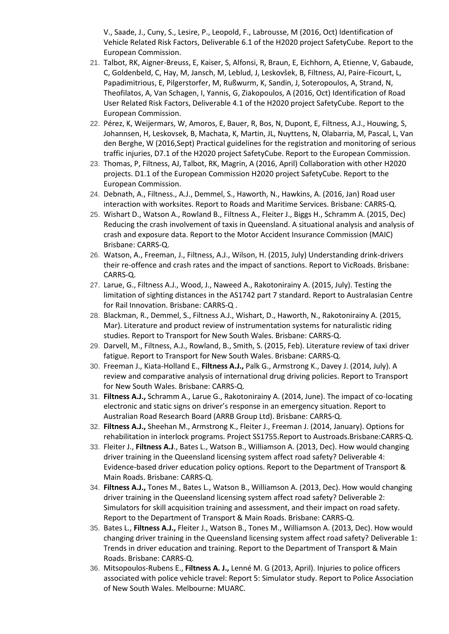V., Saade, J., Cuny, S., Lesire, P., Leopold, F., Labrousse, M (2016, Oct) Identification of Vehicle Related Risk Factors, Deliverable 6.1 of the H2020 project SafetyCube. Report to the European Commission.

- 21. Talbot, RK, Aigner-Breuss, E, Kaiser, S, Alfonsi, R, Braun, E, Eichhorn, A, Etienne, V, Gabaude, C, Goldenbeld, C, Hay, M, Jansch, M, Leblud, J, Leskovšek, B, Filtness, AJ, Paire-Ficourt, L, Papadimitrious, E, Pilgerstorfer, M, Rußwurm, K, Sandin, J, Soteropoulos, A, Strand, N, Theofilatos, A, Van Schagen, I, Yannis, G, Ziakopoulos, A (2016, Oct) Identification of Road User Related Risk Factors, Deliverable 4.1 of the H2020 project SafetyCube. Report to the European Commission.
- 22. Pérez, K, Weijermars, W, Amoros, E, Bauer, R, Bos, N, Dupont, E, Filtness, A.J., Houwing, S, Johannsen, H, Leskovsek, B, Machata, K, Martin, JL, Nuyttens, N, Olabarria, M, Pascal, L, Van den Berghe, W (2016,Sept) Practical guidelines for the registration and monitoring of serious traffic injuries, D7.1 of the H2020 project SafetyCube. Report to the European Commission.
- 23. Thomas, P, Filtness, AJ, Talbot, RK, Magrin, A (2016, April) Collaboration with other H2020 projects. D1.1 of the European Commission H2020 project SafetyCube. Report to the European Commission.
- 24. Debnath, A., Filtness., A.J., Demmel, S., Haworth, N., Hawkins, A. (2016, Jan) Road user interaction with worksites. Report to Roads and Maritime Services. Brisbane: CARRS-Q.
- 25. Wishart D., Watson A., Rowland B., Filtness A., Fleiter J., Biggs H., Schramm A. (2015, Dec) Reducing the crash involvement of taxis in Queensland. A situational analysis and analysis of crash and exposure data. Report to the Motor Accident Insurance Commission (MAIC) Brisbane: CARRS-Q.
- 26. Watson, A., Freeman, J., Filtness, A.J., Wilson, H. (2015, July) Understanding drink-drivers their re-offence and crash rates and the impact of sanctions. Report to VicRoads. Brisbane: CARRS-Q.
- 27. Larue, G., Filtness A.J., Wood, J., Naweed A., Rakotonirainy A. (2015, July). Testing the limitation of sighting distances in the AS1742 part 7 standard. Report to Australasian Centre for Rail Innovation. Brisbane: CARRS-Q .
- 28. Blackman, R., Demmel, S., Filtness A.J., Wishart, D., Haworth, N., Rakotonirainy A. (2015, Mar). Literature and product review of instrumentation systems for naturalistic riding studies. Report to Transport for New South Wales. Brisbane: CARRS-Q.
- 29. Darvell, M., Filtness, A.J., Rowland, B., Smith, S. (2015, Feb). Literature review of taxi driver fatigue. Report to Transport for New South Wales. Brisbane: CARRS-Q.
- 30. Freeman J., Kiata-Holland E., **Filtness A.J.,** Palk G., Armstrong K., Davey J. (2014, July). A review and comparative analysis of international drug driving policies. Report to Transport for New South Wales. Brisbane: CARRS-Q.
- 31. **Filtness A.J.,** Schramm A., Larue G., Rakotonirainy A. (2014, June). The impact of co-locating electronic and static signs on driver's response in an emergency situation. Report to Australian Road Research Board (ARRB Group Ltd). Brisbane: CARRS-Q.
- 32. **Filtness A.J.,** Sheehan M., Armstrong K., Fleiter J., Freeman J. (2014, January). Options for rehabilitation in interlock programs. Project SS1755.Report to Austroads.Brisbane:CARRS-Q.
- 33. Fleiter J., **Filtness A.J**., Bates L., Watson B., Williamson A. (2013, Dec). How would changing driver training in the Queensland licensing system affect road safety? Deliverable 4: Evidence-based driver education policy options. Report to the Department of Transport & Main Roads. Brisbane: CARRS-Q.
- 34. **Filtness A.J.,** Tones M., Bates L., Watson B., Williamson A. (2013, Dec). How would changing driver training in the Queensland licensing system affect road safety? Deliverable 2: Simulators for skill acquisition training and assessment, and their impact on road safety. Report to the Department of Transport & Main Roads. Brisbane: CARRS-Q.
- 35. Bates L., **Filtness A.J.,** Fleiter J., Watson B., Tones M., Williamson A. (2013, Dec). How would changing driver training in the Queensland licensing system affect road safety? Deliverable 1: Trends in driver education and training. Report to the Department of Transport & Main Roads. Brisbane: CARRS-Q.
- 36. Mitsopoulos-Rubens E., **Filtness A. J.,** Lenné M. G (2013, April). Injuries to police officers associated with police vehicle travel: Report 5: Simulator study. Report to Police Association of New South Wales. Melbourne: MUARC.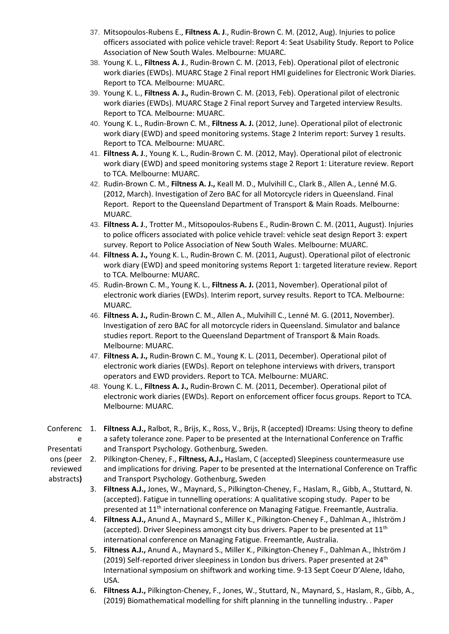- 37. Mitsopoulos-Rubens E., **Filtness A. J**., Rudin-Brown C. M. (2012, Aug). Injuries to police officers associated with police vehicle travel: Report 4: Seat Usability Study. Report to Police Association of New South Wales. Melbourne: MUARC.
- 38. Young K. L., **Filtness A. J**., Rudin-Brown C. M. (2013, Feb). Operational pilot of electronic work diaries (EWDs). MUARC Stage 2 Final report HMI guidelines for Electronic Work Diaries. Report to TCA. Melbourne: MUARC.
- 39. Young K. L., **Filtness A. J.,** Rudin-Brown C. M. (2013, Feb). Operational pilot of electronic work diaries (EWDs). MUARC Stage 2 Final report Survey and Targeted interview Results. Report to TCA. Melbourne: MUARC.
- 40. Young K. L., Rudin-Brown C. M., **Filtness A. J.** (2012, June). Operational pilot of electronic work diary (EWD) and speed monitoring systems. Stage 2 Interim report: Survey 1 results. Report to TCA. Melbourne: MUARC.
- 41. **Filtness A. J**., Young K. L., Rudin-Brown C. M. (2012, May). Operational pilot of electronic work diary (EWD) and speed monitoring systems stage 2 Report 1: Literature review. Report to TCA. Melbourne: MUARC.
- 42. Rudin-Brown C. M., **Filtness A. J.,** Keall M. D., Mulvihill C., Clark B., Allen A., Lenné M.G. (2012, March). Investigation of Zero BAC for all Motorcycle riders in Queensland. Final Report. Report to the Queensland Department of Transport & Main Roads. Melbourne: MUARC.
- 43. **Filtness A. J**., Trotter M., Mitsopoulos-Rubens E., Rudin-Brown C. M. (2011, August). Injuries to police officers associated with police vehicle travel: vehicle seat design Report 3: expert survey. Report to Police Association of New South Wales. Melbourne: MUARC.
- 44. **Filtness A. J.,** Young K. L., Rudin-Brown C. M. (2011, August). Operational pilot of electronic work diary (EWD) and speed monitoring systems Report 1: targeted literature review. Report to TCA. Melbourne: MUARC.
- 45. Rudin-Brown C. M., Young K. L., **Filtness A. J.** (2011, November). Operational pilot of electronic work diaries (EWDs). Interim report, survey results. Report to TCA. Melbourne: MUARC.
- 46. **Filtness A. J.,** Rudin-Brown C. M., Allen A., Mulvihill C., Lenné M. G. (2011, November). Investigation of zero BAC for all motorcycle riders in Queensland. Simulator and balance studies report. Report to the Queensland Department of Transport & Main Roads. Melbourne: MUARC.
- 47. **Filtness A. J.,** Rudin-Brown C. M., Young K. L. (2011, December). Operational pilot of electronic work diaries (EWDs). Report on telephone interviews with drivers, transport operators and EWD providers. Report to TCA. Melbourne: MUARC.
- 48. Young K. L., **Filtness A. J.,** Rudin-Brown C. M. (2011, December). Operational pilot of electronic work diaries (EWDs). Report on enforcement officer focus groups. Report to TCA. Melbourne: MUARC.
- Conferenc 1. **Filtness A.J.,** Ralbot, R., Brijs, K., Ross, V., Brijs, R (accepted) IDreams: Using theory to define e Presentati a safety tolerance zone. Paper to be presented at the International Conference on Traffic and Transport Psychology. Gothenburg, Sweden.
- reviewed
- abstracts**)**
- ons (peer 2. Pilkington-Cheney, F., **Filtness, A.J.,** Haslam, C (accepted) Sleepiness countermeasure use and implications for driving. Paper to be presented at the International Conference on Traffic and Transport Psychology. Gothenburg, Sweden
	- 3. **Filtness A.J.,** Jones, W., Maynard, S., Pilkington-Cheney, F., Haslam, R., Gibb, A., Stuttard, N. (accepted). Fatigue in tunnelling operations: A qualitative scoping study. Paper to be presented at 11th international conference on Managing Fatigue. Freemantle, Australia.
	- 4. **Filtness A.J.,** Anund A., Maynard S., Miller K., Pilkington-Cheney F., Dahlman A., Ihlström J (accepted). Driver Sleepiness amongst city bus drivers. Paper to be presented at  $11<sup>th</sup>$ international conference on Managing Fatigue. Freemantle, Australia.
	- 5. **Filtness A.J.,** Anund A., Maynard S., Miller K., Pilkington-Cheney F., Dahlman A., Ihlström J (2019) Self-reported driver sleepiness in London bus drivers. Paper presented at 24<sup>th</sup> International symposium on shiftwork and working time. 9-13 Sept Coeur D'Alene, Idaho, USA.
	- 6. **Filtness A.J.,** Pilkington-Cheney, F., Jones, W., Stuttard, N., Maynard, S., Haslam, R., Gibb, A., (2019) Biomathematical modelling for shift planning in the tunnelling industry. . Paper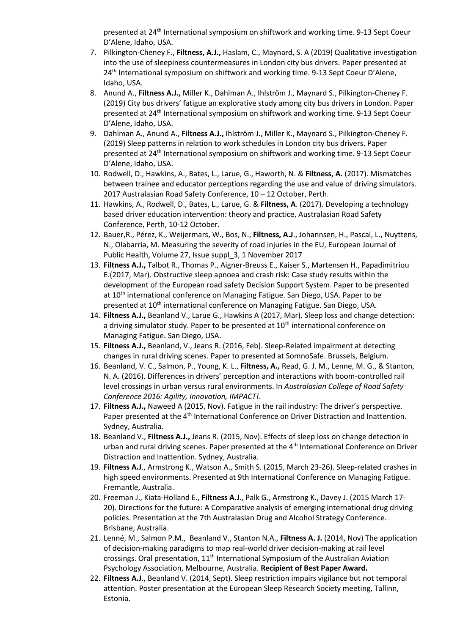presented at 24th International symposium on shiftwork and working time. 9-13 Sept Coeur D'Alene, Idaho, USA.

- 7. Pilkington-Cheney F., **Filtness, A.J.,** Haslam, C., Maynard, S. A (2019) Qualitative investigation into the use of sleepiness countermeasures in London city bus drivers. Paper presented at 24<sup>th</sup> International symposium on shiftwork and working time. 9-13 Sept Coeur D'Alene, Idaho, USA.
- 8. Anund A., **Filtness A.J.,** Miller K., Dahlman A., Ihlström J., Maynard S., Pilkington-Cheney F. (2019) City bus drivers' fatigue an explorative study among city bus drivers in London. Paper presented at 24th International symposium on shiftwork and working time. 9-13 Sept Coeur D'Alene, Idaho, USA.
- 9. Dahlman A., Anund A., **Filtness A.J.,** Ihlström J., Miller K., Maynard S., Pilkington-Cheney F. (2019) Sleep patterns in relation to work schedules in London city bus drivers. Paper presented at 24th International symposium on shiftwork and working time. 9-13 Sept Coeur D'Alene, Idaho, USA.
- 10. Rodwell, D., Hawkins, A., Bates, L., Larue, G., Haworth, N. & **Filtness, A.** (2017). Mismatches between trainee and educator perceptions regarding the use and value of driving simulators. 2017 Australasian Road Safety Conference, 10 – 12 October, Perth.
- 11. Hawkins, A., Rodwell, D., Bates, L., Larue, G. & **Filtness, A**. (2017). Developing a technology based driver education intervention: theory and practice, Australasian Road Safety Conference, Perth, 10-12 October.
- 12. Bauer,R., Pérez, K., Weijermars, W., Bos, N., **Filtness, A.J**., Johannsen, H., Pascal, L., Nuyttens, N., Olabarria, M. Measuring the severity of road injuries in the EU, European Journal of Public Health, Volume 27, Issue suppl\_3, 1 November 2017
- 13. **Filtness A.J.,** Talbot R., Thomas P., Aigner-Breuss E., Kaiser S., Martensen H., Papadimitriou E.(2017, Mar). Obstructive sleep apnoea and crash risk: Case study results within the development of the European road safety Decision Support System. Paper to be presented at 10<sup>th</sup> international conference on Managing Fatigue. San Diego, USA. Paper to be presented at 10<sup>th</sup> international conference on Managing Fatigue. San Diego, USA.
- 14. **Filtness A.J.,** Beanland V., Larue G., Hawkins A (2017, Mar). Sleep loss and change detection: a driving simulator study. Paper to be presented at  $10<sup>th</sup>$  international conference on Managing Fatigue. San Diego, USA.
- 15. **Filtness A.J.,** Beanland, V., Jeans R. (2016, Feb). Sleep-Related impairment at detecting changes in rural driving scenes. Paper to presented at SomnoSafe. Brussels, Belgium.
- 16. Beanland, V. C., Salmon, P., Young, K. L., **Filtness, A.,** Read, G. J. M., Lenne, M. G., & Stanton, N. A. (2016). Differences in drivers' perception and interactions with boom-controlled rail level crossings in urban versus rural environments. In *Australasian College of Road Safety Conference 2016: Agility, Innovation, IMPACT!*.
- 17. **Filtness A.J.,** Naweed A (2015, Nov). Fatigue in the rail industry: The driver's perspective. Paper presented at the 4<sup>th</sup> International Conference on Driver Distraction and Inattention. Sydney, Australia.
- 18. Beanland V., **Filtness A.J.,** Jeans R. (2015, Nov). Effects of sleep loss on change detection in urban and rural driving scenes. Paper presented at the 4<sup>th</sup> International Conference on Driver Distraction and Inattention. Sydney, Australia.
- 19. **Filtness A.J**., Armstrong K., Watson A., Smith S. (2015, March 23-26). Sleep-related crashes in high speed environments. Presented at 9th International Conference on Managing Fatigue. Fremantle, Australia.
- 20. Freeman J., Kiata-Holland E., **Filtness A.J**., Palk G., Armstrong K., Davey J. (2015 March 17- 20). Directions for the future: A Comparative analysis of emerging international drug driving policies. Presentation at the 7th Australasian Drug and Alcohol Strategy Conference. Brisbane, Australia.
- 21. Lenné, M., Salmon P.M., Beanland V., Stanton N.A., **Filtness A. J.** (2014, Nov) The application of decision-making paradigms to map real-world driver decision-making at rail level crossings. Oral presentation, 11<sup>th</sup> International Symposium of the Australian Aviation Psychology Association, Melbourne, Australia. **Recipient of Best Paper Award.**
- 22. **Filtness A.J**., Beanland V. (2014, Sept). Sleep restriction impairs vigilance but not temporal attention. Poster presentation at the European Sleep Research Society meeting, Tallinn, Estonia.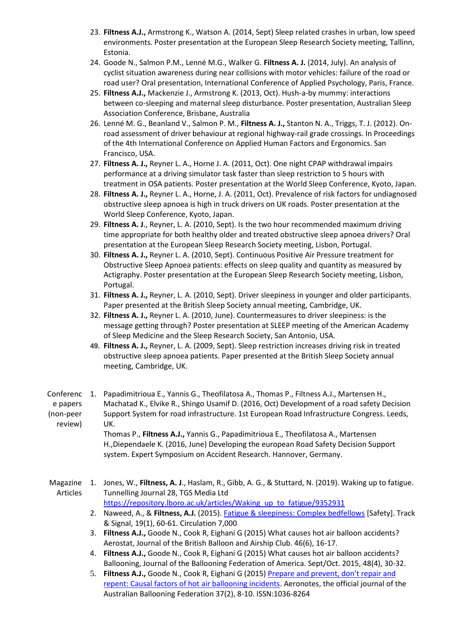- 23. **Filtness A.J.,** Armstrong K., Watson A. (2014, Sept) Sleep related crashes in urban, low speed environments. Poster presentation at the European Sleep Research Society meeting, Tallinn, Estonia.
- 24. Goode N., Salmon P.M., Lenné M.G., Walker G. **Filtness A. J.** (2014, July). An analysis of cyclist situation awareness during near collisions with motor vehicles: failure of the road or road user? Oral presentation, International Conference of Applied Psychology, Paris, France.
- 25. **Filtness A.J.,** Mackenzie J., Armstrong K. (2013, Oct). Hush-a-by mummy: interactions between co-sleeping and maternal sleep disturbance. Poster presentation, Australian Sleep Association Conference, Brisbane, Australia
- 26. Lenné M. G., Beanland V., Salmon P. M., **Filtness A. J.,** Stanton N. A., Triggs, T. J. (2012). Onroad assessment of driver behaviour at regional highway-rail grade crossings. In Proceedings of the 4th International Conference on Applied Human Factors and Ergonomics. San Francisco, USA.
- 27. **Filtness A. J.,** Reyner L. A., Horne J. A. (2011, Oct). One night CPAP withdrawal impairs performance at a driving simulator task faster than sleep restriction to 5 hours with treatment in OSA patients. Poster presentation at the World Sleep Conference, Kyoto, Japan.
- 28. **Filtness A. J.,** Reyner L. A., Horne, J. A. (2011, Oct). Prevalence of risk factors for undiagnosed obstructive sleep apnoea is high in truck drivers on UK roads. Poster presentation at the World Sleep Conference, Kyoto, Japan.
- 29. **Filtness A. J**., Reyner, L. A. (2010, Sept). Is the two hour recommended maximum driving time appropriate for both healthy older and treated obstructive sleep apnoea drivers? Oral presentation at the European Sleep Research Society meeting, Lisbon, Portugal.
- 30. **Filtness A. J.,** Reyner L. A. (2010, Sept). Continuous Positive Air Pressure treatment for Obstructive Sleep Apnoea patients: effects on sleep quality and quantity as measured by Actigraphy. Poster presentation at the European Sleep Research Society meeting, Lisbon, Portugal.
- 31. **Filtness A. J.,** Reyner, L. A. (2010, Sept). Driver sleepiness in younger and older participants. Paper presented at the British Sleep Society annual meeting, Cambridge, UK.
- 32. **Filtness A. J.,** Reyner L. A. (2010, June). Countermeasures to driver sleepiness: is the message getting through? Poster presentation at SLEEP meeting of the American Academy of Sleep Medicine and the Sleep Research Society, San Antonio, USA.
- **49. Filtness A. J.,** Reyner, L. A. (2009, Sept). Sleep restriction increases driving risk in treated obstructive sleep apnoea patients. Paper presented at the British Sleep Society annual meeting, Cambridge, UK.
- Conferenc 1. Papadimitrioua E., Yannis G., Theofilatosa A., Thomas P., Filtness A.J., Martensen H., e papers (non-peer review) Machatad K., Elvike R., Shingo Usamif D. (2016, Oct) Development of a road safety Decision Support System for road infrastructure. 1st European Road Infrastructure Congress. Leeds, UK.

Thomas P., **Filtness A.J.,** Yannis G., Papadimitrioua E., Theofilatosa A., Martensen H.,Diependaele K. (2016, June) Developing the european Road Safety Decision Support system. Expert Symposium on Accident Research. Hannover, Germany.

- Magazine 1. Jones, W., **Filtness, A. J**., Haslam, R., Gibb, A. G., & Stuttard, N. (2019). Waking up to fatigue. Articles Tunnelling Journal 28, TGS Media Ltd [https://repository.lboro.ac.uk/articles/Waking\\_up\\_to\\_fatigue/9352931](https://repository.lboro.ac.uk/articles/Waking_up_to_fatigue/9352931)
	- 2. Naweed, A., & **Filtness, A.J.** (2015)[. Fatigue & sleepiness: Complex bedfellows](http://eprints.qut.edu.au/85623/) [Safety]. Track & Signal, 19(1), 60-61. Circulation 7,000
	- 3. **Filtness A.J.,** Goode N., Cook R, Eighani G (2015) What causes hot air balloon accidents? Aerostat, Journal of the British Balloon and Airship Club. 46(6), 16-17.
	- 4. **Filtness A.J.,** Goode N., Cook R, Eighani G (2015) What causes hot air balloon accidents? Ballooning, Journal of the Ballooning Federation of America. Sept/Oct. 2015, 48(4), 30-32.
	- 5. **Filtness A.J.,** Goode N., Cook R, Eighani G (2015) [Prepare and prevent, don't repair and](http://eprints.qut.edu.au/85624/)  [repent: Causal factors of hot air ballooning incidents.](http://eprints.qut.edu.au/85624/) Aeronotes, the official journal of the Australian Ballooning Federation 37(2), 8-10. ISSN:1036-8264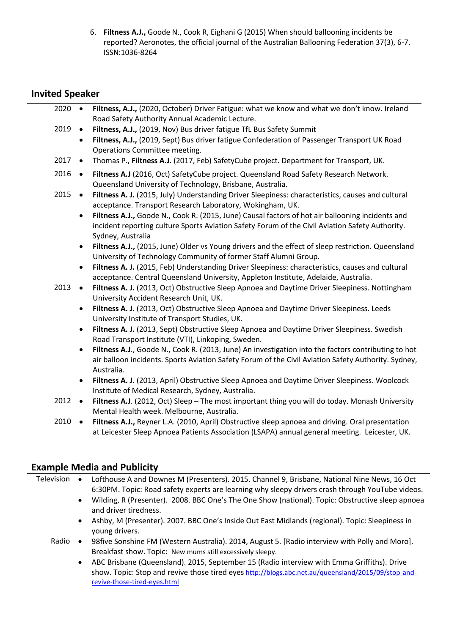6. **Filtness A.J.,** Goode N., Cook R, Eighani G (2015) When should ballooning incidents be reported? Aeronotes, the official journal of the Australian Ballooning Federation 37(3), 6-7. ISSN:1036-8264

#### **Invited Speaker**

| 2020 | $\bullet$ | Filtness, A.J., (2020, October) Driver Fatigue: what we know and what we don't know. Ireland                                                                                                                             |
|------|-----------|--------------------------------------------------------------------------------------------------------------------------------------------------------------------------------------------------------------------------|
|      |           | Road Safety Authority Annual Academic Lecture.                                                                                                                                                                           |
| 2019 | $\bullet$ | Filtness, A.J., (2019, Nov) Bus driver fatigue TfL Bus Safety Summit                                                                                                                                                     |
|      | $\bullet$ | Filtness, A.J., (2019, Sept) Bus driver fatigue Confederation of Passenger Transport UK Road<br>Operations Committee meeting.                                                                                            |
| 2017 | $\bullet$ | Thomas P., Filtness A.J. (2017, Feb) SafetyCube project. Department for Transport, UK.                                                                                                                                   |
| 2016 | $\bullet$ | Filtness A.J (2016, Oct) SafetyCube project. Queensland Road Safety Research Network.<br>Queensland University of Technology, Brisbane, Australia.                                                                       |
| 2015 | $\bullet$ | Filtness A. J. (2015, July) Understanding Driver Sleepiness: characteristics, causes and cultural<br>acceptance. Transport Research Laboratory, Wokingham, UK.                                                           |
|      | $\bullet$ | Filtness A.J., Goode N., Cook R. (2015, June) Causal factors of hot air ballooning incidents and<br>incident reporting culture Sports Aviation Safety Forum of the Civil Aviation Safety Authority.<br>Sydney, Australia |
|      | $\bullet$ | Filtness A.J., (2015, June) Older vs Young drivers and the effect of sleep restriction. Queensland                                                                                                                       |
|      |           | University of Technology Community of former Staff Alumni Group.                                                                                                                                                         |
|      | $\bullet$ | Filtness A. J. (2015, Feb) Understanding Driver Sleepiness: characteristics, causes and cultural<br>acceptance. Central Queensland University, Appleton Institute, Adelaide, Australia.                                  |
| 2013 | $\bullet$ | Filtness A. J. (2013, Oct) Obstructive Sleep Apnoea and Daytime Driver Sleepiness. Nottingham<br>University Accident Research Unit, UK.                                                                                  |
|      | $\bullet$ | Filtness A. J. (2013, Oct) Obstructive Sleep Apnoea and Daytime Driver Sleepiness. Leeds<br>University Institute of Transport Studies, UK.                                                                               |
|      | $\bullet$ | Filtness A. J. (2013, Sept) Obstructive Sleep Apnoea and Daytime Driver Sleepiness. Swedish<br>Road Transport Institute (VTI), Linkoping, Sweden.                                                                        |
|      | $\bullet$ | Filtness A.J., Goode N., Cook R. (2013, June) An investigation into the factors contributing to hot                                                                                                                      |
|      |           | air balloon incidents. Sports Aviation Safety Forum of the Civil Aviation Safety Authority. Sydney,<br>Australia.                                                                                                        |
|      | $\bullet$ | Filtness A. J. (2013, April) Obstructive Sleep Apnoea and Daytime Driver Sleepiness. Woolcock<br>Institute of Medical Research, Sydney, Australia.                                                                       |
| 2012 | $\bullet$ | Filtness A.J. (2012, Oct) Sleep - The most important thing you will do today. Monash University<br>Mental Health week. Melbourne, Australia.                                                                             |
| 2010 | $\bullet$ | Filtness A.J., Reyner L.A. (2010, April) Obstructive sleep apnoea and driving. Oral presentation                                                                                                                         |
|      |           | at Leicester Sleep Apnoea Patients Association (LSAPA) annual general meeting. Leicester, UK.                                                                                                                            |
|      |           |                                                                                                                                                                                                                          |

#### **Example Media and Publicity**

Television • Lofthouse A and Downes M (Presenters). 2015. Channel 9, Brisbane, National Nine News, 16 Oct 6:30PM. Topic: Road safety experts are learning why sleepy drivers crash through YouTube videos.

- Wilding, R (Presenter). 2008. BBC One's The One Show (national). Topic: Obstructive sleep apnoea and driver tiredness.
- Ashby, M (Presenter). 2007. BBC One's Inside Out East Midlands (regional). Topic: Sleepiness in young drivers.
- Radio 98five Sonshine FM (Western Australia). 2014, August 5. [Radio interview with Polly and Moro]. Breakfast show. Topic: New mums still excessively sleepy.
	- ABC Brisbane (Queensland). 2015, September 15 (Radio interview with Emma Griffiths). Drive show. Topic: Stop and revive those tired eyes [http://blogs.abc.net.au/queensland/2015/09/stop-and](http://blogs.abc.net.au/queensland/2015/09/stop-and-revive-those-tired-eyes.html)[revive-those-tired-eyes.html](http://blogs.abc.net.au/queensland/2015/09/stop-and-revive-those-tired-eyes.html)